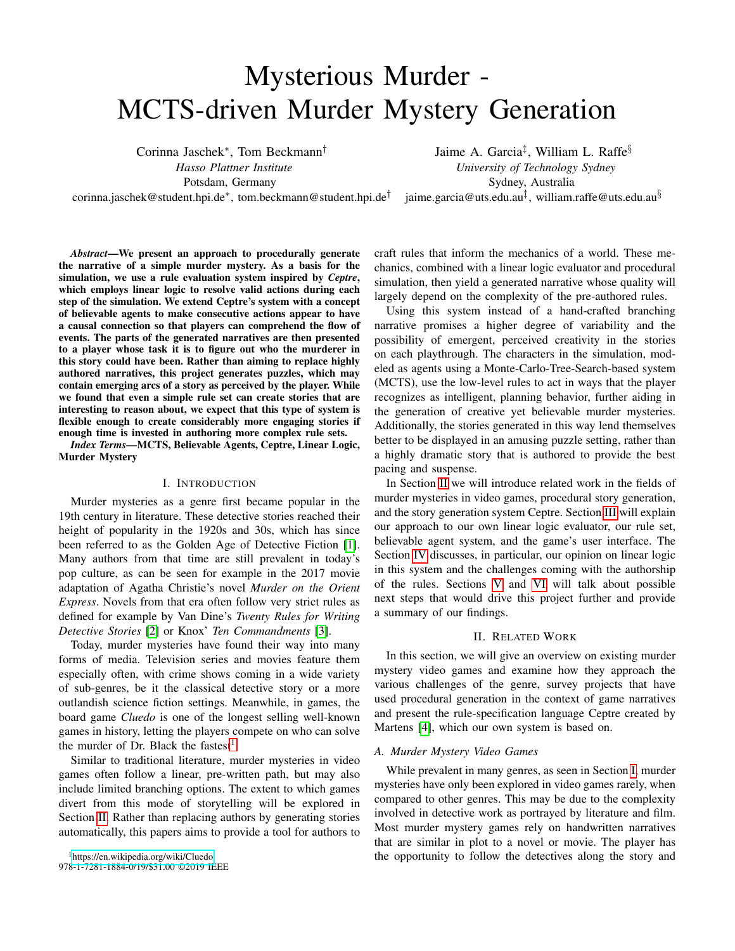# Mysterious Murder - MCTS-driven Murder Mystery Generation

Corinna Jaschek<sup>∗</sup> , Tom Beckmann†

*Hasso Plattner Institute* Potsdam, Germany

corinna.jaschek@student.hpi.de<sup>∗</sup> , tom.beckmann@student.hpi.de†

Jaime A. Garcia<sup>‡</sup>, William L. Raffe $§$ *University of Technology Sydney* Sydney, Australia jaime.garcia@uts.edu.au $^\ddagger$ , william.raffe@uts.edu.au $^\S$ 

*Abstract*—We present an approach to procedurally generate the narrative of a simple murder mystery. As a basis for the simulation, we use a rule evaluation system inspired by *Ceptre*, which employs linear logic to resolve valid actions during each step of the simulation. We extend Ceptre's system with a concept of believable agents to make consecutive actions appear to have a causal connection so that players can comprehend the flow of events. The parts of the generated narratives are then presented to a player whose task it is to figure out who the murderer in this story could have been. Rather than aiming to replace highly authored narratives, this project generates puzzles, which may contain emerging arcs of a story as perceived by the player. While we found that even a simple rule set can create stories that are interesting to reason about, we expect that this type of system is flexible enough to create considerably more engaging stories if enough time is invested in authoring more complex rule sets.

*Index Terms*—MCTS, Believable Agents, Ceptre, Linear Logic, Murder Mystery

#### I. INTRODUCTION

<span id="page-0-2"></span>Murder mysteries as a genre first became popular in the 19th century in literature. These detective stories reached their height of popularity in the 1920s and 30s, which has since been referred to as the Golden Age of Detective Fiction [\[1\]](#page-7-0). Many authors from that time are still prevalent in today's pop culture, as can be seen for example in the 2017 movie adaptation of Agatha Christie's novel *Murder on the Orient Express*. Novels from that era often follow very strict rules as defined for example by Van Dine's *Twenty Rules for Writing Detective Stories* [\[2\]](#page-7-1) or Knox' *Ten Commandments* [\[3\]](#page-7-2).

Today, murder mysteries have found their way into many forms of media. Television series and movies feature them especially often, with crime shows coming in a wide variety of sub-genres, be it the classical detective story or a more outlandish science fiction settings. Meanwhile, in games, the board game *Cluedo* is one of the longest selling well-known games in history, letting the players compete on who can solve the murder of Dr. Black the fastest<sup>[1](#page-0-0)</sup>.

<span id="page-0-0"></span>Similar to traditional literature, murder mysteries in video games often follow a linear, pre-written path, but may also include limited branching options. The extent to which games divert from this mode of storytelling will be explored in Section [II.](#page-0-1) Rather than replacing authors by generating stories automatically, this papers aims to provide a tool for authors to

craft rules that inform the mechanics of a world. These mechanics, combined with a linear logic evaluator and procedural simulation, then yield a generated narrative whose quality will largely depend on the complexity of the pre-authored rules.

Using this system instead of a hand-crafted branching narrative promises a higher degree of variability and the possibility of emergent, perceived creativity in the stories on each playthrough. The characters in the simulation, modeled as agents using a Monte-Carlo-Tree-Search-based system (MCTS), use the low-level rules to act in ways that the player recognizes as intelligent, planning behavior, further aiding in the generation of creative yet believable murder mysteries. Additionally, the stories generated in this way lend themselves better to be displayed in an amusing puzzle setting, rather than a highly dramatic story that is authored to provide the best pacing and suspense.

In Section [II](#page-0-1) we will introduce related work in the fields of murder mysteries in video games, procedural story generation, and the story generation system Ceptre. Section [III](#page-2-0) will explain our approach to our own linear logic evaluator, our rule set, believable agent system, and the game's user interface. The Section [IV](#page-5-0) discusses, in particular, our opinion on linear logic in this system and the challenges coming with the authorship of the rules. Sections [V](#page-6-0) and [VI](#page-7-3) will talk about possible next steps that would drive this project further and provide a summary of our findings.

#### II. RELATED WORK

<span id="page-0-1"></span>In this section, we will give an overview on existing murder mystery video games and examine how they approach the various challenges of the genre, survey projects that have used procedural generation in the context of game narratives and present the rule-specification language Ceptre created by Martens [\[4\]](#page-7-4), which our own system is based on.

## *A. Murder Mystery Video Games*

While prevalent in many genres, as seen in Section [I,](#page-0-2) murder mysteries have only been explored in video games rarely, when compared to other genres. This may be due to the complexity involved in detective work as portrayed by literature and film. Most murder mystery games rely on handwritten narratives that are similar in plot to a novel or movie. The player has the opportunity to follow the detectives along the story and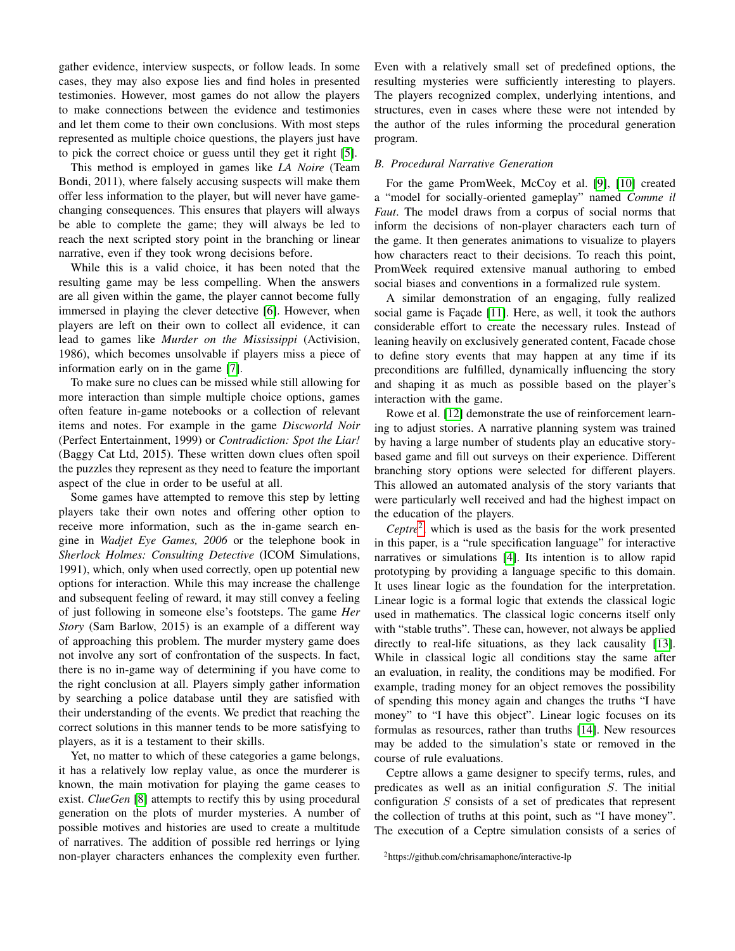gather evidence, interview suspects, or follow leads. In some cases, they may also expose lies and find holes in presented testimonies. However, most games do not allow the players to make connections between the evidence and testimonies and let them come to their own conclusions. With most steps represented as multiple choice questions, the players just have to pick the correct choice or guess until they get it right [\[5\]](#page-7-5).

This method is employed in games like *LA Noire* (Team Bondi, 2011), where falsely accusing suspects will make them offer less information to the player, but will never have gamechanging consequences. This ensures that players will always be able to complete the game; they will always be led to reach the next scripted story point in the branching or linear narrative, even if they took wrong decisions before.

While this is a valid choice, it has been noted that the resulting game may be less compelling. When the answers are all given within the game, the player cannot become fully immersed in playing the clever detective [\[6\]](#page-7-6). However, when players are left on their own to collect all evidence, it can lead to games like *Murder on the Mississippi* (Activision, 1986), which becomes unsolvable if players miss a piece of information early on in the game [\[7\]](#page-7-7).

To make sure no clues can be missed while still allowing for more interaction than simple multiple choice options, games often feature in-game notebooks or a collection of relevant items and notes. For example in the game *Discworld Noir* (Perfect Entertainment, 1999) or *Contradiction: Spot the Liar!* (Baggy Cat Ltd, 2015). These written down clues often spoil the puzzles they represent as they need to feature the important aspect of the clue in order to be useful at all.

Some games have attempted to remove this step by letting players take their own notes and offering other option to receive more information, such as the in-game search engine in *Wadjet Eye Games, 2006* or the telephone book in *Sherlock Holmes: Consulting Detective* (ICOM Simulations, 1991), which, only when used correctly, open up potential new options for interaction. While this may increase the challenge and subsequent feeling of reward, it may still convey a feeling of just following in someone else's footsteps. The game *Her Story* (Sam Barlow, 2015) is an example of a different way of approaching this problem. The murder mystery game does not involve any sort of confrontation of the suspects. In fact, there is no in-game way of determining if you have come to the right conclusion at all. Players simply gather information by searching a police database until they are satisfied with their understanding of the events. We predict that reaching the correct solutions in this manner tends to be more satisfying to players, as it is a testament to their skills.

Yet, no matter to which of these categories a game belongs, it has a relatively low replay value, as once the murderer is known, the main motivation for playing the game ceases to exist. *ClueGen* [\[8\]](#page-7-8) attempts to rectify this by using procedural generation on the plots of murder mysteries. A number of possible motives and histories are used to create a multitude of narratives. The addition of possible red herrings or lying non-player characters enhances the complexity even further.

Even with a relatively small set of predefined options, the resulting mysteries were sufficiently interesting to players. The players recognized complex, underlying intentions, and structures, even in cases where these were not intended by the author of the rules informing the procedural generation program.

#### *B. Procedural Narrative Generation*

For the game PromWeek, McCoy et al. [\[9\]](#page-7-9), [\[10\]](#page-7-10) created a "model for socially-oriented gameplay" named *Comme il Faut*. The model draws from a corpus of social norms that inform the decisions of non-player characters each turn of the game. It then generates animations to visualize to players how characters react to their decisions. To reach this point, PromWeek required extensive manual authoring to embed social biases and conventions in a formalized rule system.

A similar demonstration of an engaging, fully realized social game is Façade [\[11\]](#page-7-11). Here, as well, it took the authors considerable effort to create the necessary rules. Instead of leaning heavily on exclusively generated content, Facade chose to define story events that may happen at any time if its preconditions are fulfilled, dynamically influencing the story and shaping it as much as possible based on the player's interaction with the game.

Rowe et al. [\[12\]](#page-7-12) demonstrate the use of reinforcement learning to adjust stories. A narrative planning system was trained by having a large number of students play an educative storybased game and fill out surveys on their experience. Different branching story options were selected for different players. This allowed an automated analysis of the story variants that were particularly well received and had the highest impact on the education of the players.

*Ceptre*[2](#page-1-0) , which is used as the basis for the work presented in this paper, is a "rule specification language" for interactive narratives or simulations [\[4\]](#page-7-4). Its intention is to allow rapid prototyping by providing a language specific to this domain. It uses linear logic as the foundation for the interpretation. Linear logic is a formal logic that extends the classical logic used in mathematics. The classical logic concerns itself only with "stable truths". These can, however, not always be applied directly to real-life situations, as they lack causality [\[13\]](#page-7-13). While in classical logic all conditions stay the same after an evaluation, in reality, the conditions may be modified. For example, trading money for an object removes the possibility of spending this money again and changes the truths "I have money" to "I have this object". Linear logic focuses on its formulas as resources, rather than truths [\[14\]](#page-7-14). New resources may be added to the simulation's state or removed in the course of rule evaluations.

Ceptre allows a game designer to specify terms, rules, and predicates as well as an initial configuration S. The initial configuration S consists of a set of predicates that represent the collection of truths at this point, such as "I have money". The execution of a Ceptre simulation consists of a series of

<span id="page-1-0"></span><sup>2</sup>https://github.com/chrisamaphone/interactive-lp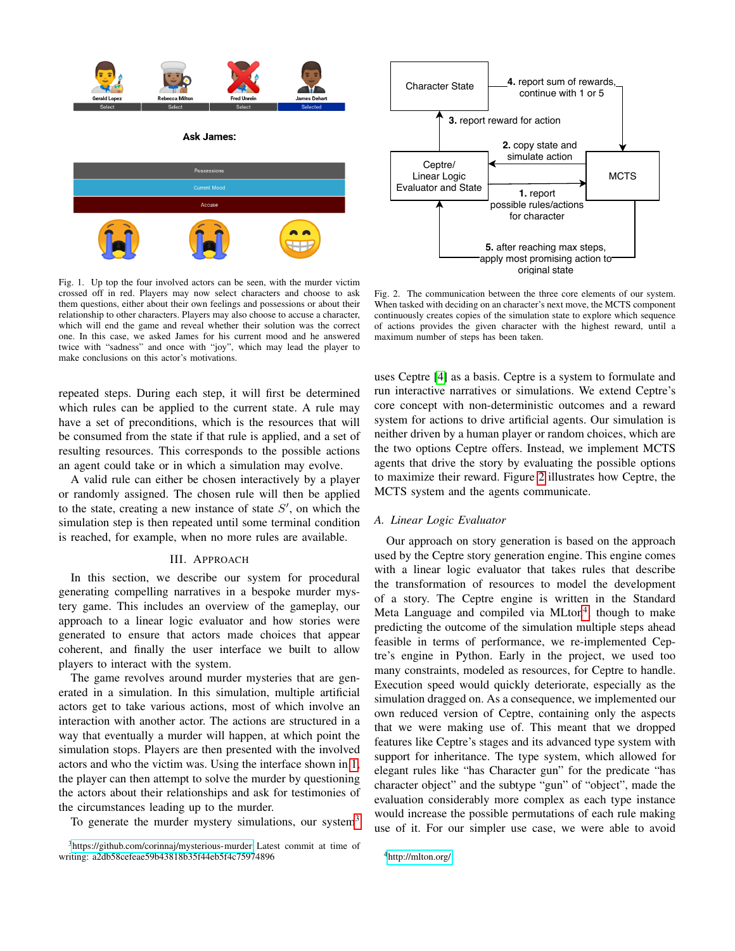

<span id="page-2-1"></span>Fig. 1. Up top the four involved actors can be seen, with the murder victim crossed off in red. Players may now select characters and choose to ask them questions, either about their own feelings and possessions or about their relationship to other characters. Players may also choose to accuse a character, which will end the game and reveal whether their solution was the correct one. In this case, we asked James for his current mood and he answered twice with "sadness" and once with "joy", which may lead the player to make conclusions on this actor's motivations.

repeated steps. During each step, it will first be determined which rules can be applied to the current state. A rule may have a set of preconditions, which is the resources that will be consumed from the state if that rule is applied, and a set of resulting resources. This corresponds to the possible actions an agent could take or in which a simulation may evolve.

A valid rule can either be chosen interactively by a player or randomly assigned. The chosen rule will then be applied to the state, creating a new instance of state  $S'$ , on which the simulation step is then repeated until some terminal condition is reached, for example, when no more rules are available.

## III. APPROACH

<span id="page-2-0"></span>In this section, we describe our system for procedural generating compelling narratives in a bespoke murder mystery game. This includes an overview of the gameplay, our approach to a linear logic evaluator and how stories were generated to ensure that actors made choices that appear coherent, and finally the user interface we built to allow players to interact with the system.

The game revolves around murder mysteries that are generated in a simulation. In this simulation, multiple artificial actors get to take various actions, most of which involve an interaction with another actor. The actions are structured in a way that eventually a murder will happen, at which point the simulation stops. Players are then presented with the involved actors and who the victim was. Using the interface shown in [1,](#page-2-1) the player can then attempt to solve the murder by questioning the actors about their relationships and ask for testimonies of the circumstances leading up to the murder.

To generate the murder mystery simulations, our system<sup>[3](#page-2-2)</sup>



<span id="page-2-3"></span>Fig. 2. The communication between the three core elements of our system. When tasked with deciding on an character's next move, the MCTS component continuously creates copies of the simulation state to explore which sequence of actions provides the given character with the highest reward, until a maximum number of steps has been taken.

uses Ceptre [\[4\]](#page-7-4) as a basis. Ceptre is a system to formulate and run interactive narratives or simulations. We extend Ceptre's core concept with non-deterministic outcomes and a reward system for actions to drive artificial agents. Our simulation is neither driven by a human player or random choices, which are the two options Ceptre offers. Instead, we implement MCTS agents that drive the story by evaluating the possible options to maximize their reward. Figure [2](#page-2-3) illustrates how Ceptre, the MCTS system and the agents communicate.

## <span id="page-2-5"></span>*A. Linear Logic Evaluator*

Our approach on story generation is based on the approach used by the Ceptre story generation engine. This engine comes with a linear logic evaluator that takes rules that describe the transformation of resources to model the development of a story. The Ceptre engine is written in the Standard Meta Language and compiled via MLton<sup>[4](#page-2-4)</sup>, though to make predicting the outcome of the simulation multiple steps ahead feasible in terms of performance, we re-implemented Ceptre's engine in Python. Early in the project, we used too many constraints, modeled as resources, for Ceptre to handle. Execution speed would quickly deteriorate, especially as the simulation dragged on. As a consequence, we implemented our own reduced version of Ceptre, containing only the aspects that we were making use of. This meant that we dropped features like Ceptre's stages and its advanced type system with support for inheritance. The type system, which allowed for elegant rules like "has Character gun" for the predicate "has character object" and the subtype "gun" of "object", made the evaluation considerably more complex as each type instance would increase the possible permutations of each rule making use of it. For our simpler use case, we were able to avoid

<span id="page-2-4"></span><sup>4</sup><http://mlton.org/>

<span id="page-2-2"></span><sup>&</sup>lt;sup>3</sup><https://github.com/corinnaj/mysterious-murder> Latest commit at time of writing: a2db58cefeae59b43818b35f44eb5f4c75974896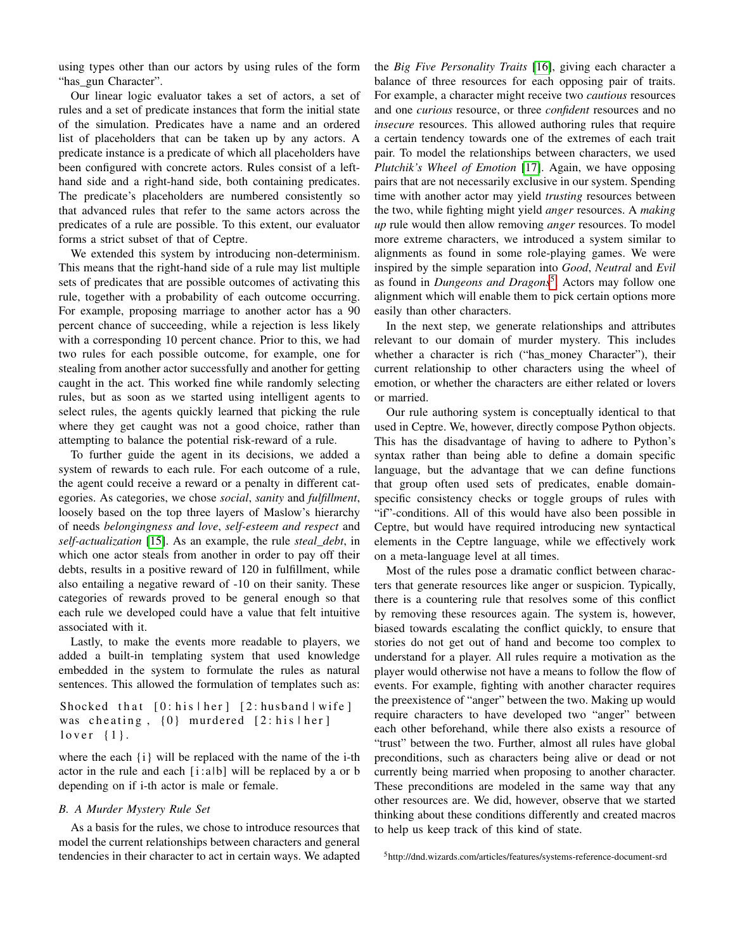using types other than our actors by using rules of the form "has gun Character".

Our linear logic evaluator takes a set of actors, a set of rules and a set of predicate instances that form the initial state of the simulation. Predicates have a name and an ordered list of placeholders that can be taken up by any actors. A predicate instance is a predicate of which all placeholders have been configured with concrete actors. Rules consist of a lefthand side and a right-hand side, both containing predicates. The predicate's placeholders are numbered consistently so that advanced rules that refer to the same actors across the predicates of a rule are possible. To this extent, our evaluator forms a strict subset of that of Ceptre.

We extended this system by introducing non-determinism. This means that the right-hand side of a rule may list multiple sets of predicates that are possible outcomes of activating this rule, together with a probability of each outcome occurring. For example, proposing marriage to another actor has a 90 percent chance of succeeding, while a rejection is less likely with a corresponding 10 percent chance. Prior to this, we had two rules for each possible outcome, for example, one for stealing from another actor successfully and another for getting caught in the act. This worked fine while randomly selecting rules, but as soon as we started using intelligent agents to select rules, the agents quickly learned that picking the rule where they get caught was not a good choice, rather than attempting to balance the potential risk-reward of a rule.

To further guide the agent in its decisions, we added a system of rewards to each rule. For each outcome of a rule, the agent could receive a reward or a penalty in different categories. As categories, we chose *social*, *sanity* and *fulfillment*, loosely based on the top three layers of Maslow's hierarchy of needs *belongingness and love*, *self-esteem and respect* and *self-actualization* [\[15\]](#page-7-15). As an example, the rule *steal\_debt*, in which one actor steals from another in order to pay off their debts, results in a positive reward of 120 in fulfillment, while also entailing a negative reward of -10 on their sanity. These categories of rewards proved to be general enough so that each rule we developed could have a value that felt intuitive associated with it.

Lastly, to make the events more readable to players, we added a built-in templating system that used knowledge embedded in the system to formulate the rules as natural sentences. This allowed the formulation of templates such as:

```
Shocked that [0: his |her] [2: husband |wife]was cheating, \{0\} murdered [2:his \,]lover \{1\}.
```
where the each {i} will be replaced with the name of the i-th actor in the rule and each  $[i:ab]$  will be replaced by a or b depending on if i-th actor is male or female.

#### *B. A Murder Mystery Rule Set*

As a basis for the rules, we chose to introduce resources that model the current relationships between characters and general tendencies in their character to act in certain ways. We adapted the *Big Five Personality Traits* [\[16\]](#page-7-16), giving each character a balance of three resources for each opposing pair of traits. For example, a character might receive two *cautious* resources and one *curious* resource, or three *confident* resources and no *insecure* resources. This allowed authoring rules that require a certain tendency towards one of the extremes of each trait pair. To model the relationships between characters, we used *Plutchik's Wheel of Emotion* [\[17\]](#page-7-17). Again, we have opposing pairs that are not necessarily exclusive in our system. Spending time with another actor may yield *trusting* resources between the two, while fighting might yield *anger* resources. A *making up* rule would then allow removing *anger* resources. To model more extreme characters, we introduced a system similar to alignments as found in some role-playing games. We were inspired by the simple separation into *Good*, *Neutral* and *Evil* as found in *Dungeons and Dragons*[5](#page-3-0) . Actors may follow one alignment which will enable them to pick certain options more easily than other characters.

In the next step, we generate relationships and attributes relevant to our domain of murder mystery. This includes whether a character is rich ("has money Character"), their current relationship to other characters using the wheel of emotion, or whether the characters are either related or lovers or married.

Our rule authoring system is conceptually identical to that used in Ceptre. We, however, directly compose Python objects. This has the disadvantage of having to adhere to Python's syntax rather than being able to define a domain specific language, but the advantage that we can define functions that group often used sets of predicates, enable domainspecific consistency checks or toggle groups of rules with "if"-conditions. All of this would have also been possible in Ceptre, but would have required introducing new syntactical elements in the Ceptre language, while we effectively work on a meta-language level at all times.

Most of the rules pose a dramatic conflict between characters that generate resources like anger or suspicion. Typically, there is a countering rule that resolves some of this conflict by removing these resources again. The system is, however, biased towards escalating the conflict quickly, to ensure that stories do not get out of hand and become too complex to understand for a player. All rules require a motivation as the player would otherwise not have a means to follow the flow of events. For example, fighting with another character requires the preexistence of "anger" between the two. Making up would require characters to have developed two "anger" between each other beforehand, while there also exists a resource of "trust" between the two. Further, almost all rules have global preconditions, such as characters being alive or dead or not currently being married when proposing to another character. These preconditions are modeled in the same way that any other resources are. We did, however, observe that we started thinking about these conditions differently and created macros to help us keep track of this kind of state.

<span id="page-3-0"></span><sup>5</sup>http://dnd.wizards.com/articles/features/systems-reference-document-srd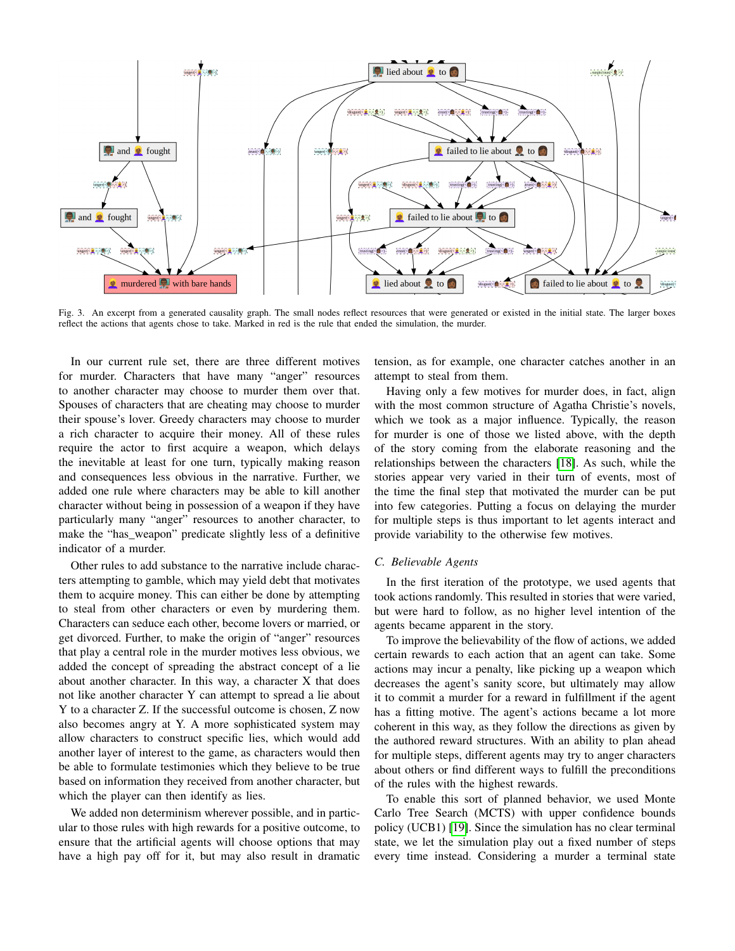

Fig. 3. An excerpt from a generated causality graph. The small nodes reflect resources that were generated or existed in the initial state. The larger boxes reflect the actions that agents chose to take. Marked in red is the rule that ended the simulation, the murder.

In our current rule set, there are three different motives for murder. Characters that have many "anger" resources to another character may choose to murder them over that. Spouses of characters that are cheating may choose to murder their spouse's lover. Greedy characters may choose to murder a rich character to acquire their money. All of these rules require the actor to first acquire a weapon, which delays the inevitable at least for one turn, typically making reason and consequences less obvious in the narrative. Further, we added one rule where characters may be able to kill another character without being in possession of a weapon if they have particularly many "anger" resources to another character, to make the "has\_weapon" predicate slightly less of a definitive indicator of a murder.

Other rules to add substance to the narrative include characters attempting to gamble, which may yield debt that motivates them to acquire money. This can either be done by attempting to steal from other characters or even by murdering them. Characters can seduce each other, become lovers or married, or get divorced. Further, to make the origin of "anger" resources that play a central role in the murder motives less obvious, we added the concept of spreading the abstract concept of a lie about another character. In this way, a character X that does not like another character Y can attempt to spread a lie about Y to a character Z. If the successful outcome is chosen, Z now also becomes angry at Y. A more sophisticated system may allow characters to construct specific lies, which would add another layer of interest to the game, as characters would then be able to formulate testimonies which they believe to be true based on information they received from another character, but which the player can then identify as lies.

We added non determinism wherever possible, and in particular to those rules with high rewards for a positive outcome, to ensure that the artificial agents will choose options that may have a high pay off for it, but may also result in dramatic tension, as for example, one character catches another in an attempt to steal from them.

Having only a few motives for murder does, in fact, align with the most common structure of Agatha Christie's novels, which we took as a major influence. Typically, the reason for murder is one of those we listed above, with the depth of the story coming from the elaborate reasoning and the relationships between the characters [\[18\]](#page-7-18). As such, while the stories appear very varied in their turn of events, most of the time the final step that motivated the murder can be put into few categories. Putting a focus on delaying the murder for multiple steps is thus important to let agents interact and provide variability to the otherwise few motives.

#### *C. Believable Agents*

In the first iteration of the prototype, we used agents that took actions randomly. This resulted in stories that were varied, but were hard to follow, as no higher level intention of the agents became apparent in the story.

To improve the believability of the flow of actions, we added certain rewards to each action that an agent can take. Some actions may incur a penalty, like picking up a weapon which decreases the agent's sanity score, but ultimately may allow it to commit a murder for a reward in fulfillment if the agent has a fitting motive. The agent's actions became a lot more coherent in this way, as they follow the directions as given by the authored reward structures. With an ability to plan ahead for multiple steps, different agents may try to anger characters about others or find different ways to fulfill the preconditions of the rules with the highest rewards.

To enable this sort of planned behavior, we used Monte Carlo Tree Search (MCTS) with upper confidence bounds policy (UCB1) [\[19\]](#page-7-19). Since the simulation has no clear terminal state, we let the simulation play out a fixed number of steps every time instead. Considering a murder a terminal state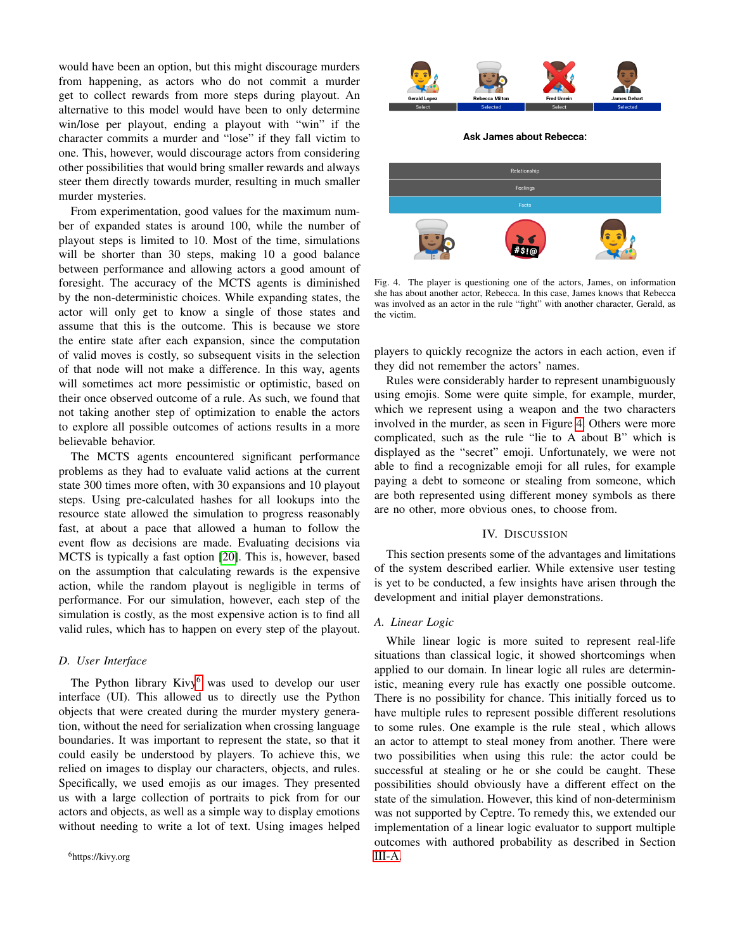would have been an option, but this might discourage murders from happening, as actors who do not commit a murder get to collect rewards from more steps during playout. An alternative to this model would have been to only determine win/lose per playout, ending a playout with "win" if the character commits a murder and "lose" if they fall victim to one. This, however, would discourage actors from considering other possibilities that would bring smaller rewards and always steer them directly towards murder, resulting in much smaller murder mysteries.

From experimentation, good values for the maximum number of expanded states is around 100, while the number of playout steps is limited to 10. Most of the time, simulations will be shorter than 30 steps, making 10 a good balance between performance and allowing actors a good amount of foresight. The accuracy of the MCTS agents is diminished by the non-deterministic choices. While expanding states, the actor will only get to know a single of those states and assume that this is the outcome. This is because we store the entire state after each expansion, since the computation of valid moves is costly, so subsequent visits in the selection of that node will not make a difference. In this way, agents will sometimes act more pessimistic or optimistic, based on their once observed outcome of a rule. As such, we found that not taking another step of optimization to enable the actors to explore all possible outcomes of actions results in a more believable behavior.

The MCTS agents encountered significant performance problems as they had to evaluate valid actions at the current state 300 times more often, with 30 expansions and 10 playout steps. Using pre-calculated hashes for all lookups into the resource state allowed the simulation to progress reasonably fast, at about a pace that allowed a human to follow the event flow as decisions are made. Evaluating decisions via MCTS is typically a fast option [\[20\]](#page-7-20). This is, however, based on the assumption that calculating rewards is the expensive action, while the random playout is negligible in terms of performance. For our simulation, however, each step of the simulation is costly, as the most expensive action is to find all valid rules, which has to happen on every step of the playout.

# *D. User Interface*

<span id="page-5-1"></span>The Python library  $Kivy^6$  $Kivy^6$  was used to develop our user interface (UI). This allowed us to directly use the Python objects that were created during the murder mystery generation, without the need for serialization when crossing language boundaries. It was important to represent the state, so that it could easily be understood by players. To achieve this, we relied on images to display our characters, objects, and rules. Specifically, we used emojis as our images. They presented us with a large collection of portraits to pick from for our actors and objects, as well as a simple way to display emotions without needing to write a lot of text. Using images helped



**Ask James about Rebecca:** 



<span id="page-5-2"></span>Fig. 4. The player is questioning one of the actors, James, on information she has about another actor, Rebecca. In this case, James knows that Rebecca was involved as an actor in the rule "fight" with another character, Gerald, as the victim.

players to quickly recognize the actors in each action, even if they did not remember the actors' names.

Rules were considerably harder to represent unambiguously using emojis. Some were quite simple, for example, murder, which we represent using a weapon and the two characters involved in the murder, as seen in Figure [4.](#page-5-2) Others were more complicated, such as the rule "lie to A about B" which is displayed as the "secret" emoji. Unfortunately, we were not able to find a recognizable emoji for all rules, for example paying a debt to someone or stealing from someone, which are both represented using different money symbols as there are no other, more obvious ones, to choose from.

#### IV. DISCUSSION

<span id="page-5-0"></span>This section presents some of the advantages and limitations of the system described earlier. While extensive user testing is yet to be conducted, a few insights have arisen through the development and initial player demonstrations.

# *A. Linear Logic*

While linear logic is more suited to represent real-life situations than classical logic, it showed shortcomings when applied to our domain. In linear logic all rules are deterministic, meaning every rule has exactly one possible outcome. There is no possibility for chance. This initially forced us to have multiple rules to represent possible different resolutions to some rules. One example is the rule steal , which allows an actor to attempt to steal money from another. There were two possibilities when using this rule: the actor could be successful at stealing or he or she could be caught. These possibilities should obviously have a different effect on the state of the simulation. However, this kind of non-determinism was not supported by Ceptre. To remedy this, we extended our implementation of a linear logic evaluator to support multiple outcomes with authored probability as described in Section [III-A.](#page-2-5)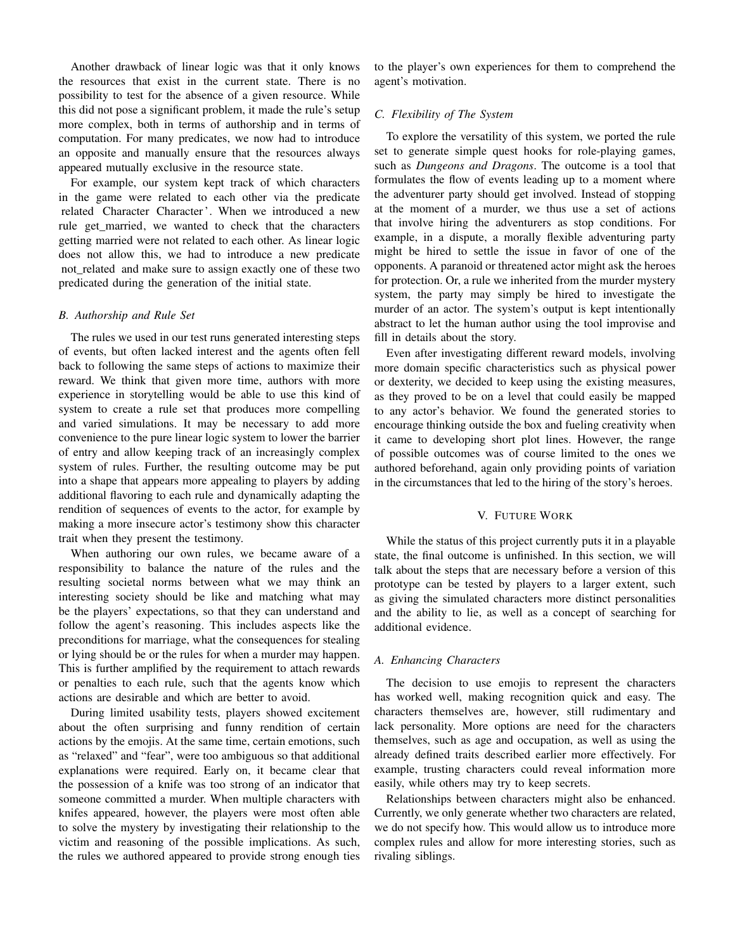Another drawback of linear logic was that it only knows the resources that exist in the current state. There is no possibility to test for the absence of a given resource. While this did not pose a significant problem, it made the rule's setup more complex, both in terms of authorship and in terms of computation. For many predicates, we now had to introduce an opposite and manually ensure that the resources always appeared mutually exclusive in the resource state.

For example, our system kept track of which characters in the game were related to each other via the predicate related Character Character '. When we introduced a new rule get married, we wanted to check that the characters getting married were not related to each other. As linear logic does not allow this, we had to introduce a new predicate not related and make sure to assign exactly one of these two predicated during the generation of the initial state.

#### *B. Authorship and Rule Set*

The rules we used in our test runs generated interesting steps of events, but often lacked interest and the agents often fell back to following the same steps of actions to maximize their reward. We think that given more time, authors with more experience in storytelling would be able to use this kind of system to create a rule set that produces more compelling and varied simulations. It may be necessary to add more convenience to the pure linear logic system to lower the barrier of entry and allow keeping track of an increasingly complex system of rules. Further, the resulting outcome may be put into a shape that appears more appealing to players by adding additional flavoring to each rule and dynamically adapting the rendition of sequences of events to the actor, for example by making a more insecure actor's testimony show this character trait when they present the testimony.

When authoring our own rules, we became aware of a responsibility to balance the nature of the rules and the resulting societal norms between what we may think an interesting society should be like and matching what may be the players' expectations, so that they can understand and follow the agent's reasoning. This includes aspects like the preconditions for marriage, what the consequences for stealing or lying should be or the rules for when a murder may happen. This is further amplified by the requirement to attach rewards or penalties to each rule, such that the agents know which actions are desirable and which are better to avoid.

During limited usability tests, players showed excitement about the often surprising and funny rendition of certain actions by the emojis. At the same time, certain emotions, such as "relaxed" and "fear", were too ambiguous so that additional explanations were required. Early on, it became clear that the possession of a knife was too strong of an indicator that someone committed a murder. When multiple characters with knifes appeared, however, the players were most often able to solve the mystery by investigating their relationship to the victim and reasoning of the possible implications. As such, the rules we authored appeared to provide strong enough ties

to the player's own experiences for them to comprehend the agent's motivation.

## *C. Flexibility of The System*

To explore the versatility of this system, we ported the rule set to generate simple quest hooks for role-playing games, such as *Dungeons and Dragons*. The outcome is a tool that formulates the flow of events leading up to a moment where the adventurer party should get involved. Instead of stopping at the moment of a murder, we thus use a set of actions that involve hiring the adventurers as stop conditions. For example, in a dispute, a morally flexible adventuring party might be hired to settle the issue in favor of one of the opponents. A paranoid or threatened actor might ask the heroes for protection. Or, a rule we inherited from the murder mystery system, the party may simply be hired to investigate the murder of an actor. The system's output is kept intentionally abstract to let the human author using the tool improvise and fill in details about the story.

Even after investigating different reward models, involving more domain specific characteristics such as physical power or dexterity, we decided to keep using the existing measures, as they proved to be on a level that could easily be mapped to any actor's behavior. We found the generated stories to encourage thinking outside the box and fueling creativity when it came to developing short plot lines. However, the range of possible outcomes was of course limited to the ones we authored beforehand, again only providing points of variation in the circumstances that led to the hiring of the story's heroes.

## V. FUTURE WORK

<span id="page-6-0"></span>While the status of this project currently puts it in a playable state, the final outcome is unfinished. In this section, we will talk about the steps that are necessary before a version of this prototype can be tested by players to a larger extent, such as giving the simulated characters more distinct personalities and the ability to lie, as well as a concept of searching for additional evidence.

# *A. Enhancing Characters*

The decision to use emojis to represent the characters has worked well, making recognition quick and easy. The characters themselves are, however, still rudimentary and lack personality. More options are need for the characters themselves, such as age and occupation, as well as using the already defined traits described earlier more effectively. For example, trusting characters could reveal information more easily, while others may try to keep secrets.

Relationships between characters might also be enhanced. Currently, we only generate whether two characters are related, we do not specify how. This would allow us to introduce more complex rules and allow for more interesting stories, such as rivaling siblings.